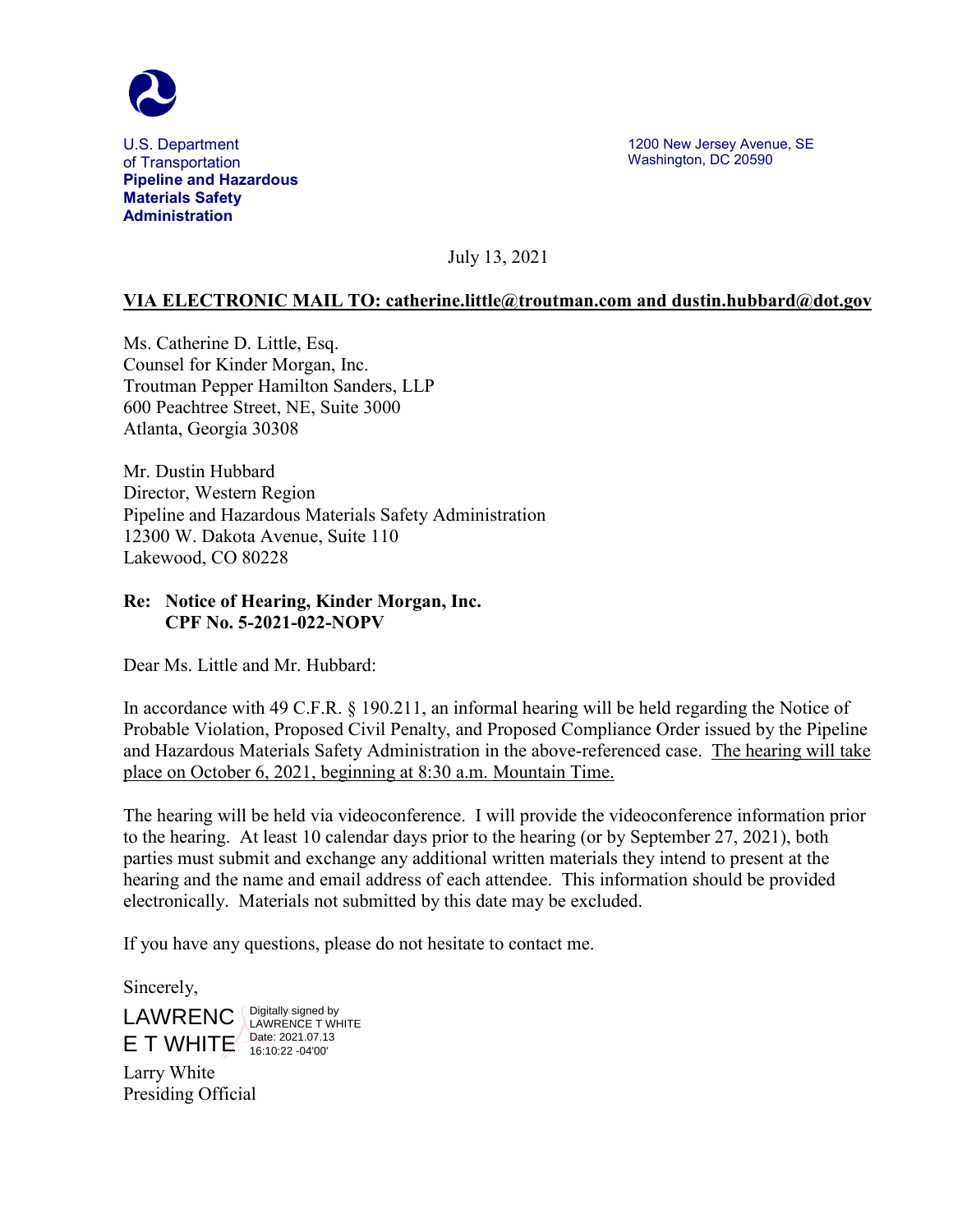

U.S. Department of Transportation **Pipeline and Hazardous Materials Safety Administration**

1200 New Jersey Avenue, SE Washington, DC 20590

July 13, 2021

## **VIA ELECTRONIC MAIL TO: catherine.little@troutman.com and dustin.hubbard@dot.gov**

Ms. Catherine D. Little, Esq. Counsel for Kinder Morgan, Inc. Troutman Pepper Hamilton Sanders, LLP 600 Peachtree Street, NE, Suite 3000 Atlanta, Georgia 30308

Mr. Dustin Hubbard Director, Western Region Pipeline and Hazardous Materials Safety Administration 12300 W. Dakota Avenue, Suite 110 Lakewood, CO 80228

## **Re: Notice of Hearing, Kinder Morgan, Inc. CPF No. 5-2021-022-NOPV**

Dear Ms. Little and Mr. Hubbard:

In accordance with 49 C.F.R. § 190.211, an informal hearing will be held regarding the Notice of Probable Violation, Proposed Civil Penalty, and Proposed Compliance Order issued by the Pipeline and Hazardous Materials Safety Administration in the above-referenced case. The hearing will take place on October 6, 2021, beginning at 8:30 a.m. Mountain Time.

The hearing will be held via videoconference. I will provide the videoconference information prior to the hearing. At least 10 calendar days prior to the hearing (or by September 27, 2021), both parties must submit and exchange any additional written materials they intend to present at the hearing and the name and email address of each attendee. This information should be provided electronically. Materials not submitted by this date may be excluded.

If you have any questions, please do not hesitate to contact me.

Sincerely,

LAWRENC LAWRENCE T WH  $E$  T WHITE  $\frac{\text{Date: } 2021.07.13}{16:10:22.04'00'}$ LAWRENCE T WHITE 16:10:22 -04'00'

Larry White Presiding Official